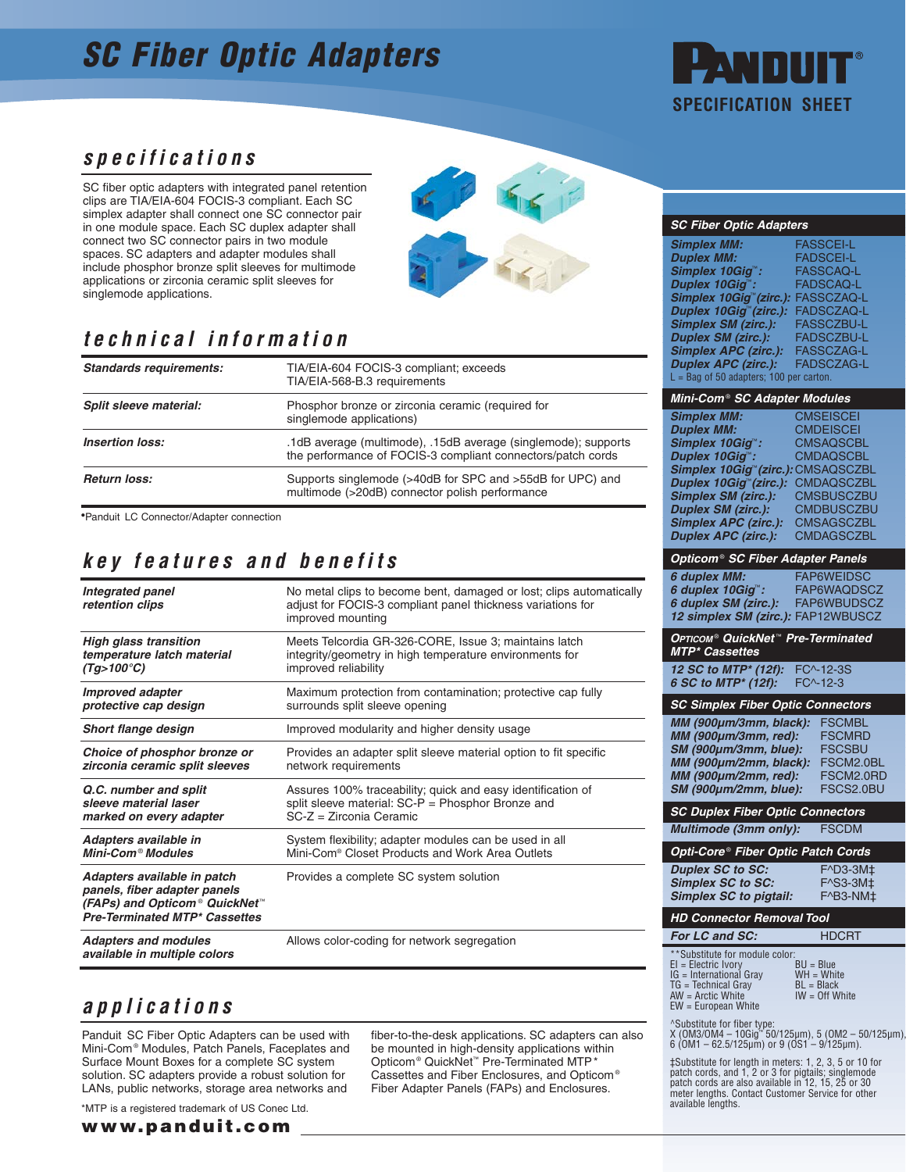# **SC Fiber Optic Adapters**



## **specifications**

SC fiber optic adapters with integrated panel retention clips are TIA/EIA-604 FOCIS-3 compliant. Each SC simplex adapter shall connect one SC connector pair in one module space. Each SC duplex adapter shall connect two SC connector pairs in two module spaces. SC adapters and adapter modules shall include phosphor bronze split sleeves for multimode applications or zirconia ceramic split sleeves for singlemode applications.



## **technical information**

| <b>Standards requirements:</b> | TIA/EIA-604 FOCIS-3 compliant; exceeds<br>TIA/EIA-568-B.3 requirements                                                        |  |  |
|--------------------------------|-------------------------------------------------------------------------------------------------------------------------------|--|--|
| Split sleeve material:         | Phosphor bronze or zirconia ceramic (required for<br>singlemode applications)                                                 |  |  |
| <b>Insertion loss:</b>         | .1dB average (multimode), .15dB average (singlemode); supports<br>the performance of FOCIS-3 compliant connectors/patch cords |  |  |
| <b>Return loss:</b>            | Supports singlemode (>40dB for SPC and >55dB for UPC) and<br>multimode (>20dB) connector polish performance                   |  |  |

Panduit LC Connector/Adapter connection •

## **key features and benefits**

| Integrated panel<br>retention clips                                                                                                  | No metal clips to become bent, damaged or lost; clips automatically<br>adjust for FOCIS-3 compliant panel thickness variations for<br>improved mounting |  |  |
|--------------------------------------------------------------------------------------------------------------------------------------|---------------------------------------------------------------------------------------------------------------------------------------------------------|--|--|
| <b>High glass transition</b>                                                                                                         | Meets Telcordia GR-326-CORE, Issue 3; maintains latch                                                                                                   |  |  |
| temperature latch material                                                                                                           | integrity/geometry in high temperature environments for                                                                                                 |  |  |
| $(Tg>100^{\circ}C)$                                                                                                                  | improved reliability                                                                                                                                    |  |  |
| <b>Improved adapter</b>                                                                                                              | Maximum protection from contamination; protective cap fully                                                                                             |  |  |
| protective cap design                                                                                                                | surrounds split sleeve opening                                                                                                                          |  |  |
| <b>Short flange design</b>                                                                                                           | Improved modularity and higher density usage                                                                                                            |  |  |
| Choice of phosphor bronze or                                                                                                         | Provides an adapter split sleeve material option to fit specific                                                                                        |  |  |
| zirconia ceramic split sleeves                                                                                                       | network requirements                                                                                                                                    |  |  |
| Q.C. number and split                                                                                                                | Assures 100% traceability; quick and easy identification of                                                                                             |  |  |
| sleeve material laser                                                                                                                | split sleeve material: SC-P = Phosphor Bronze and                                                                                                       |  |  |
| marked on every adapter                                                                                                              | $SC-Z = Zirconia Ceramic$                                                                                                                               |  |  |
| Adapters available in                                                                                                                | System flexibility; adapter modules can be used in all                                                                                                  |  |  |
| Mini-Com <sup>®</sup> Modules                                                                                                        | Mini-Com <sup>®</sup> Closet Products and Work Area Outlets                                                                                             |  |  |
| Adapters available in patch<br>panels, fiber adapter panels<br>(FAPs) and Opticom® QuickNet™<br><b>Pre-Terminated MTP* Cassettes</b> | Provides a complete SC system solution                                                                                                                  |  |  |
| <b>Adapters and modules</b><br>available in multiple colors                                                                          | Allows color-coding for network segregation                                                                                                             |  |  |

## **applications**

Panduit SC Fiber Optic Adapters can be used with Mini-Com® Modules, Patch Panels, Faceplates and Surface Mount Boxes for a complete SC system solution. SC adapters provide a robust solution for LANs, public networks, storage area networks and

\*MTP is a registered trademark of US Conec Ltd.

**www.panduit.com**

fiber-to-the-desk applications. SC adapters can also be mounted in high-density applications within Opticom® QuickNet™ Pre-Terminated MTP\* Cassettes and Fiber Enclosures, and Opticom® Fiber Adapter Panels (FAPs) and Enclosures.

#### **SC Fiber Optic Adapters**

| <b>Simplex MM:</b>                  | <b>FASSCEI-L</b>  |
|-------------------------------------|-------------------|
| <b>Duplex MM:</b>                   | <b>FADSCEI-L</b>  |
| Simplex 10Giq <sup>™</sup> :        | <b>FASSCAQ-L</b>  |
| Duplex 10Giq":                      | <b>FADSCAQ-L</b>  |
| Simplex 10Giq <sup>™</sup> (zirc.): | <b>FASSCZAQ-L</b> |
| Duplex 10Giq™(zirc.):               | <b>FADSCZAQ-L</b> |
| <b>Simplex SM (zirc.):</b>          | FASSCZBU-L        |
| <b>Duplex SM (zirc.):</b>           | <b>FADSCZBU-L</b> |
| <b>Simplex APC (zirc.):</b>         | <b>FASSCZAG-L</b> |
| <b>Duplex APC (zirc.):</b>          | <b>FADSCZAG-L</b> |
| $L =$ Bag of 50 adapters; 100       | per carton.       |

#### **Mini-Com**® **SC Adapter Modules**

| <b>Simplex MM:</b>                             | <b>CMSEISCEI</b>  |
|------------------------------------------------|-------------------|
| <b>Duplex MM:</b>                              | <b>CMDEISCEI</b>  |
| Simplex 10Giq <sup>™</sup> :                   | <b>CMSAQSCBL</b>  |
| Duplex 10Giq <sup>**</sup> :                   | <b>CMDAQSCBL</b>  |
| Simplex 10Gig <sup>*</sup> (zirc.): CMSAQSCZBL |                   |
| Duplex 10Giq <sup>™</sup> (zirc.):             | <b>CMDAQSCZBL</b> |
| <b>Simplex SM (zirc.):</b>                     | <b>CMSBUSCZBU</b> |
| <b>Duplex SM (zirc.):</b>                      | <b>CMDBUSCZBU</b> |
| <b>Simplex APC (zirc.):</b>                    | <b>CMSAGSCZBL</b> |
| <b>Duplex APC (zirc.):</b>                     | <b>CMDAGSCZBL</b> |
|                                                |                   |

#### **Opticom**® **SC Fiber Adapter Panels**

| <b>FAP6WEIDSC</b>                  |
|------------------------------------|
| FAP6WAQDSCZ                        |
| FAP6WBUDSCZ                        |
| 12 simplex SM (zirc.): FAP12WBUSCZ |
|                                    |

#### **OPTICOM**® **QuickNet** ™ **Pre-Terminated MTP\* Cassettes**

**12 SC to MTP<sup>\*</sup> (12f):** FC<sup> $\land$ </sup> 12-3S<br>**6 SC to MTP<sup>\*</sup> (12f):** FC $\land$ -12-3 **6 SC to MTP\* (12f):** 

| <b>SC Simplex Fiber Optic Connectors</b> |               |  |  |
|------------------------------------------|---------------|--|--|
| MM (900µm/3mm, black):                   | <b>FSCMBL</b> |  |  |
| MM (900µm/3mm, red):                     | <b>FSCMRD</b> |  |  |
| SM (900µm/3mm, blue):                    | <b>FSCSBU</b> |  |  |
| MM (900µm/2mm, black):                   | FSCM2.0BL     |  |  |
| MM (900µm/2mm, red):                     | FSCM2.0RD     |  |  |
| SM (900µm/2mm, blue):                    | FSCS2.0BU     |  |  |
|                                          |               |  |  |

#### **SC Duplex Fiber Optic Connectors Multimode (3mm only):** FSCDM

**Opti-Core** ® **Fiber Optic Patch Cords**

**Duplex SC to SC:** F^D3-3M‡<br>**Simplex SC to SC:** F^S3-3M± **Simplex SC to SC:** F^S3-3M‡<br>**Simplex SC to pigtail:** F^B3-NM‡ **Simplex SC to pigtail:** 

### **HD Connector Removal Tool**

| For LC and SC:                                                                                                                                              | <b>HDCRT</b>                                                    |
|-------------------------------------------------------------------------------------------------------------------------------------------------------------|-----------------------------------------------------------------|
| **Substitute for module color:<br>$EI = Electric Ivory$<br>IG = International Gray<br>$TG = Technical Gray$<br>$AW = Arctic White$<br>$EW = European White$ | $BU = Blue$<br>$WH = White$<br>$BL = Black$<br>$IW = Off White$ |

^Substitute for fiber type: X (OM3/OM4 – 10Gig™ 50/125µm), 5 (OM2 – 50/125µm), 6 (OM1 – 62.5/125µm) or 9 (OS1 – 9/125µm).

‡Substitute for length in meters: 1, 2, 3, 5 or 10 for patch cords, and 1, 2 or 3 for pigtails; singlemode patch cords are also available in 12, 15, 25 or 30 meter lengths. Contact Customer Service for other available lengths.